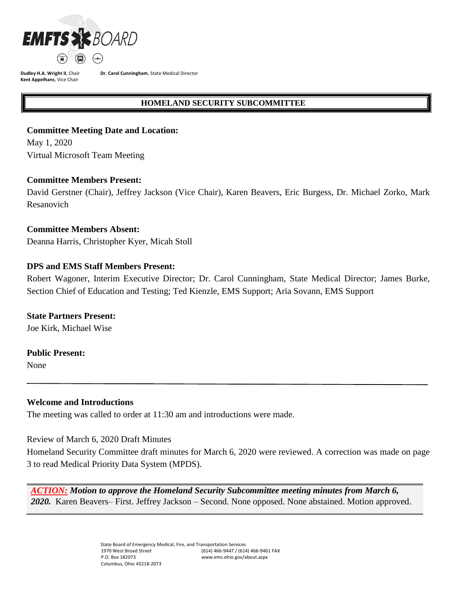

**Dr. Carol Cunningham**, State Medical Director

#### **HOMELAND SECURITY SUBCOMMITTEE**

## **Committee Meeting Date and Location:**

May 1, 2020 Virtual Microsoft Team Meeting

#### **Committee Members Present:**

David Gerstner (Chair), Jeffrey Jackson (Vice Chair), Karen Beavers, Eric Burgess, Dr. Michael Zorko, Mark Resanovich

## **Committee Members Absent:**

Deanna Harris, Christopher Kyer, Micah Stoll

# **DPS and EMS Staff Members Present:**

Robert Wagoner, Interim Executive Director; Dr. Carol Cunningham, State Medical Director; James Burke, Section Chief of Education and Testing; Ted Kienzle, EMS Support; Aria Sovann, EMS Support

## **State Partners Present:**

Joe Kirk, Michael Wise

#### **Public Present:**

None

## **Welcome and Introductions**

The meeting was called to order at 11:30 am and introductions were made.

Review of March 6, 2020 Draft Minutes

Homeland Security Committee draft minutes for March 6, 2020 were reviewed. A correction was made on page 3 to read Medical Priority Data System (MPDS).

*ACTION: Motion to approve the Homeland Security Subcommittee meeting minutes from March 6, 2020.* Karen Beavers– First. Jeffrey Jackson – Second. None opposed. None abstained. Motion approved.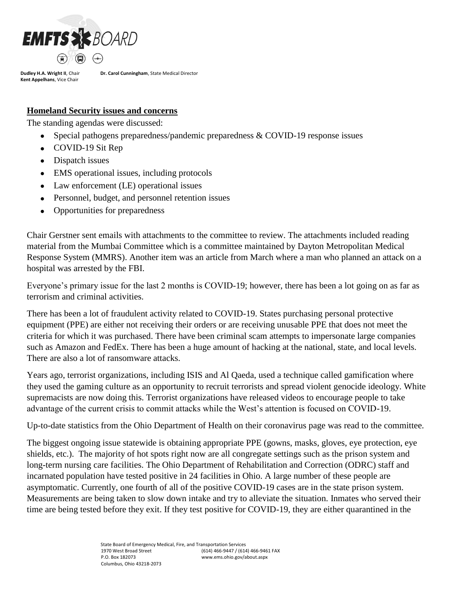

**Dr. Carol Cunningham**, State Medical Director

## **Homeland Security issues and concerns**

The standing agendas were discussed:

- Special pathogens preparedness/pandemic preparedness & COVID-19 response issues
- COVID-19 Sit Rep
- Dispatch issues
- EMS operational issues, including protocols
- Law enforcement (LE) operational issues
- Personnel, budget, and personnel retention issues
- Opportunities for preparedness

Chair Gerstner sent emails with attachments to the committee to review. The attachments included reading material from the Mumbai Committee which is a committee maintained by Dayton Metropolitan Medical Response System (MMRS). Another item was an article from March where a man who planned an attack on a hospital was arrested by the FBI.

Everyone's primary issue for the last 2 months is COVID-19; however, there has been a lot going on as far as terrorism and criminal activities.

There has been a lot of fraudulent activity related to COVID-19. States purchasing personal protective equipment (PPE) are either not receiving their orders or are receiving unusable PPE that does not meet the criteria for which it was purchased. There have been criminal scam attempts to impersonate large companies such as Amazon and FedEx. There has been a huge amount of hacking at the national, state, and local levels. There are also a lot of ransomware attacks.

Years ago, terrorist organizations, including ISIS and Al Qaeda, used a technique called gamification where they used the gaming culture as an opportunity to recruit terrorists and spread violent genocide ideology. White supremacists are now doing this. Terrorist organizations have released videos to encourage people to take advantage of the current crisis to commit attacks while the West's attention is focused on COVID-19.

Up-to-date statistics from the Ohio Department of Health on their coronavirus page was read to the committee.

The biggest ongoing issue statewide is obtaining appropriate PPE (gowns, masks, gloves, eye protection, eye shields, etc.). The majority of hot spots right now are all congregate settings such as the prison system and long-term nursing care facilities. The Ohio Department of Rehabilitation and Correction (ODRC) staff and incarnated population have tested positive in 24 facilities in Ohio. A large number of these people are asymptomatic. Currently, one fourth of all of the positive COVID-19 cases are in the state prison system. Measurements are being taken to slow down intake and try to alleviate the situation. Inmates who served their time are being tested before they exit. If they test positive for COVID-19, they are either quarantined in the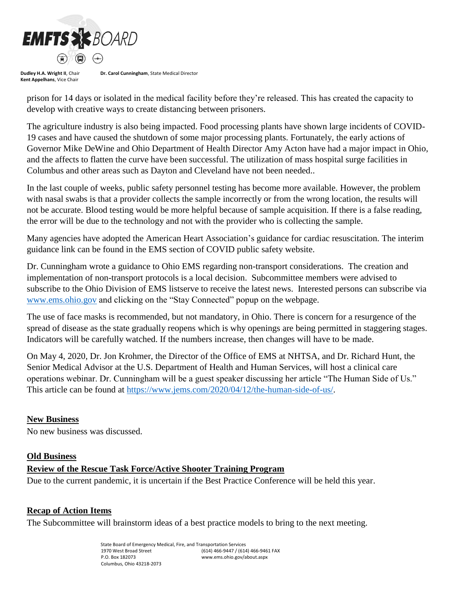

**Dr. Carol Cunningham**, State Medical Director

prison for 14 days or isolated in the medical facility before they're released. This has created the capacity to develop with creative ways to create distancing between prisoners.

The agriculture industry is also being impacted. Food processing plants have shown large incidents of COVID-19 cases and have caused the shutdown of some major processing plants. Fortunately, the early actions of Governor Mike DeWine and Ohio Department of Health Director Amy Acton have had a major impact in Ohio, and the affects to flatten the curve have been successful. The utilization of mass hospital surge facilities in Columbus and other areas such as Dayton and Cleveland have not been needed..

In the last couple of weeks, public safety personnel testing has become more available. However, the problem with nasal swabs is that a provider collects the sample incorrectly or from the wrong location, the results will not be accurate. Blood testing would be more helpful because of sample acquisition. If there is a false reading, the error will be due to the technology and not with the provider who is collecting the sample.

Many agencies have adopted the American Heart Association's guidance for cardiac resuscitation. The interim guidance link can be found in the EMS section of COVID public safety website.

Dr. Cunningham wrote a guidance to Ohio EMS regarding non-transport considerations. The creation and implementation of non-transport protocols is a local decision. Subcommittee members were advised to subscribe to the Ohio Division of EMS listserve to receive the latest news. Interested persons can subscribe via [www.ems.ohio.gov](http://www.ems.ohio.gov/) and clicking on the "Stay Connected" popup on the webpage.

The use of face masks is recommended, but not mandatory, in Ohio. There is concern for a resurgence of the spread of disease as the state gradually reopens which is why openings are being permitted in staggering stages. Indicators will be carefully watched. If the numbers increase, then changes will have to be made.

On May 4, 2020, Dr. Jon Krohmer, the Director of the Office of EMS at NHTSA, and Dr. Richard Hunt, the Senior Medical Advisor at the U.S. Department of Health and Human Services, will host a clinical care operations webinar. Dr. Cunningham will be a guest speaker discussing her article "The Human Side of Us." This article can be found at [https://www.jems.com/2020/04/12/the-human-side-of-us/.](https://www.jems.com/2020/04/12/the-human-side-of-us/)

#### **New Business**

No new business was discussed.

#### **Old Business**

## **Review of the Rescue Task Force/Active Shooter Training Program**

Due to the current pandemic, it is uncertain if the Best Practice Conference will be held this year.

#### **Recap of Action Items**

The Subcommittee will brainstorm ideas of a best practice models to bring to the next meeting.

State Board of Emergency Medical, Fire, and Transportation Services 1970 West Broad Street P.O. Box 182073 Columbus, Ohio 43218-2073 (614) 466-9447 / (614) 466-9461 FAX www.ems.ohio.gov/about.aspx